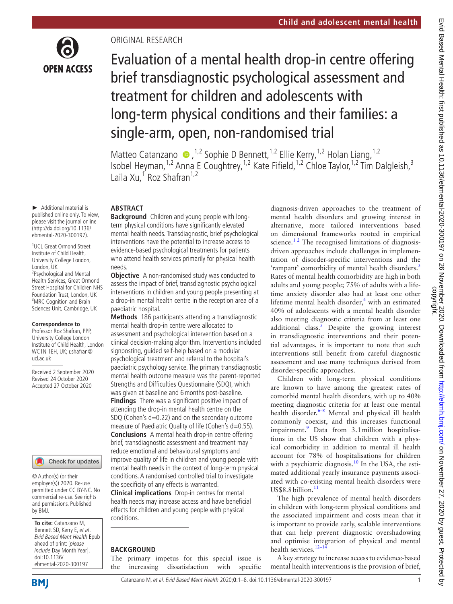

# ORIGINAL RESEARCH

Evaluation of a mental health drop-in centre offering brief transdiagnostic psychological assessment and treatment for children and adolescents with long-term physical conditions and their families: a single-arm, open, non-randomised trial

Matteo Catanzano  $\bullet$ , <sup>1,2</sup> Sophie D Bennett, <sup>1,2</sup> Ellie Kerry, <sup>1,2</sup> Holan Liang, <sup>1,2</sup> Isobel Heyman,<sup>1,2</sup> Anna E Coughtrey,<sup>1,2</sup> Kate Fifield,<sup>1,2</sup> Chloe Taylor,<sup>1,2</sup> Tim Dalgleish,<sup>3</sup> Laila Xu,<sup>1</sup> Roz Shafran<sup>1,2</sup>

► Additional material is published online only. To view, please visit the journal online (http://dx.doi.org/10.1136/ ebmental-2020-300197).

1 UCL Great Ormond Street Institute of Child Health, University College London, London, UK 2 Psychological and Mental Health Services, Great Ormond Street Hospital for Children NHS Foundation Trust, London, UK <sup>3</sup>MRC Cognition and Brain Sciences Unit, Cambridge, UK

#### **Correspondence to**

Professor Roz Shafran, PPP, University College London Institute of Child Health, London WC1N 1EH, UK; r.shafran@ ucl.ac.uk

Received 2 September 2020 Revised 24 October 2020 Accepted 27 October 2020

#### Check for updates

© Author(s) (or their employer(s)) 2020. Re-use permitted under CC BY-NC. No commercial re-use. See rights and permissions. Published by BMJ.

**To cite:** Catanzano M, Bennett SD, Kerry E, et al. Evid Based Ment Health Epub ahead of print: [please include Day Month Year]. doi:10.1136/ ebmental-2020-300197

### **ABSTRACT**

**Background** Children and young people with longterm physical conditions have significantly elevated mental health needs. Transdiagnostic, brief psychological interventions have the potential to increase access to evidence-based psychological treatments for patients who attend health services primarily for physical health needs.

**Objective** A non-randomised study was conducted to assess the impact of brief, transdiagnostic psychological interventions in children and young people presenting at a drop-in mental health centre in the reception area of a paediatric hospital.

**Methods** 186 participants attending a transdiagnostic mental health drop-in centre were allocated to assessment and psychological intervention based on a clinical decision-making algorithm. Interventions included signposting, guided self-help based on a modular psychological treatment and referral to the hospital's paediatric psychology service. The primary transdiagnostic mental health outcome measure was the parent-reported Strengths and Difficulties Questionnaire (SDQ), which was given at baseline and 6months post-baseline. **Findings** There was a significant positive impact of attending the drop-in mental health centre on the SDQ (Cohen's d=0.22) and on the secondary outcome measure of Paediatric Quality of life (Cohen's d=0.55). **Conclusions** A mental health drop-in centre offering brief, transdiagnostic assessment and treatment may reduce emotional and behavioural symptoms and improve quality of life in children and young people with mental health needs in the context of long-term physical conditions. A randomised controlled trial to investigate the specificity of any effects is warranted.

**Clinical implications** Drop-in centres for mental health needs may increase access and have beneficial effects for children and young people with physical conditions.

#### **BACKGROUND**

The primary impetus for this special issue is the increasing dissatisfaction with specific diagnosis-driven approaches to the treatment of mental health disorders and growing interest in alternative, more tailored interventions based on dimensional frameworks rooted in empirical science.<sup>12</sup> The recognised limitations of diagnosisdriven approaches include challenges in implementation of disorder-specific interventions and the 'rampant' comorbidity of mental health disorders.<sup>[3](#page-6-1)</sup> Rates of mental health comorbidity are high in both adults and young people; 75% of adults with a lifetime anxiety disorder also had at least one other lifetime mental health disorder, $4$  with an estimated 40% of adolescents with a mental health disorder also meeting diagnostic criteria from at least one additional class.<sup>5</sup> Despite the growing interest in transdiagnostic interventions and their potential advantages, it is important to note that such interventions still benefit from careful diagnostic assessment and use many techniques derived from disorder-specific approaches.

Children with long-term physical conditions are known to have among the greatest rates of comorbid mental health disorders, with up to 40% meeting diagnostic criteria for at least one mental health disorder. $6-8$  Mental and physical ill health commonly coexist, and this increases functional impairment.<sup>[9](#page-6-5)</sup> Data from 3.1 million hospitalisations in the US show that children with a physical comorbidity in addition to mental ill health account for 78% of hospitalisations for children with a psychiatric diagnosis. $10$  In the USA, the estimated additional yearly insurance payments associated with co-existing mental health disorders were US\$8.8 billion. $11$ 

The high prevalence of mental health disorders in children with long-term physical conditions and the associated impairment and costs mean that it is important to provide early, scalable interventions that can help prevent diagnostic overshadowing and optimise integration of physical and mental health services.<sup>12-14</sup>

A key strategy to increase access to evidence-based mental health interventions is the provision of brief,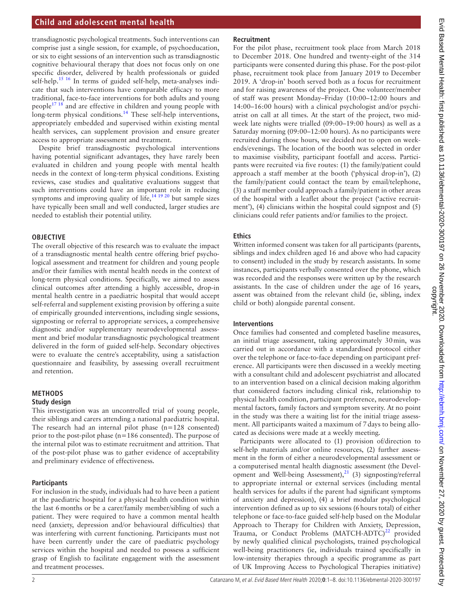transdiagnostic psychological treatments. Such interventions can comprise just a single session, for example, of psychoeducation, or six to eight sessions of an intervention such as transdiagnostic cognitive behavioural therapy that does not focus only on one specific disorder, delivered by health professionals or guided self-help.<sup>15 16</sup> In terms of guided self-help, meta-analyses indicate that such interventions have comparable efficacy to more traditional, face-to-face interventions for both adults and young people<sup>[17 18](#page-7-1)</sup> and are effective in children and young people with long-term physical conditions.<sup>[14](#page-6-9)</sup> These self-help interventions, appropriately embedded and supervised within existing mental health services, can supplement provision and ensure greater access to appropriate assessment and treatment.

Despite brief transdiagnostic psychological interventions having potential significant advantages, they have rarely been evaluated in children and young people with mental health needs in the context of long-term physical conditions. Existing reviews, case studies and qualitative evaluations suggest that such interventions could have an important role in reducing symptoms and improving quality of life,<sup>14 19 20</sup> but sample sizes have typically been small and well conducted, larger studies are needed to establish their potential utility.

### **OBJECTIVE**

The overall objective of this research was to evaluate the impact of a transdiagnostic mental health centre offering brief psychological assessment and treatment for children and young people and/or their families with mental health needs in the context of long-term physical conditions. Specifically, we aimed to assess clinical outcomes after attending a highly accessible, drop-in mental health centre in a paediatric hospital that would accept self-referral and supplement existing provision by offering a suite of empirically grounded interventions, including single sessions, signposting or referral to appropriate services, a comprehensive diagnostic and/or supplementary neurodevelopmental assessment and brief modular transdiagnostic psychological treatment delivered in the form of guided self-help. Secondary objectives were to evaluate the centre's acceptability, using a satisfaction questionnaire and feasibility, by assessing overall recruitment and retention.

### **METHODS**

### **Study design**

This investigation was an uncontrolled trial of young people, their siblings and carers attending a national paediatric hospital. The research had an internal pilot phase (n=128 consented) prior to the post-pilot phase (n=186 consented). The purpose of the internal pilot was to estimate recruitment and attrition. That of the post-pilot phase was to gather evidence of acceptability and preliminary evidence of effectiveness.

### **Participants**

For inclusion in the study, individuals had to have been a patient at the paediatric hospital for a physical health condition within the last 6months or be a carer/family member/sibling of such a patient. They were required to have a common mental health need (anxiety, depression and/or behavioural difficulties) that was interfering with current functioning. Participants must not have been currently under the care of paediatric psychology services within the hospital and needed to possess a sufficient grasp of English to facilitate engagement with the assessment and treatment processes.

### **Recruitment**

For the pilot phase, recruitment took place from March 2018 to December 2018. One hundred and twenty-eight of the 314 participants were consented during this phase. For the post-pilot phase, recruitment took place from January 2019 to December 2019. A 'drop-in' booth served both as a focus for recruitment and for raising awareness of the project. One volunteer/member of staff was present Monday–Friday (10:00–12:00 hours and 14:00–16:00 hours) with a clinical psychologist and/or psychiatrist on call at all times. At the start of the project, two midweek late nights were trialled (09:00–19:00 hours) as well as a Saturday morning (09:00–12:00 hours). As no participants were recruited during those hours, we decided not to open on weekends/evenings. The location of the booth was selected in order to maximise visibility, participant footfall and access. Participants were recruited via five routes: (1) the family/patient could approach a staff member at the booth ('physical drop-in'), (2) the family/patient could contact the team by email/telephone, (3) a staff member could approach a family/patient in other areas of the hospital with a leaflet about the project ('active recruitment'), (4) clinicians within the hospital could signpost and (5) clinicians could refer patients and/or families to the project.

### **Ethics**

Written informed consent was taken for all participants (parents, siblings and index children aged 16 and above who had capacity to consent) included in the study by research assistants. In some instances, participants verbally consented over the phone, which was recorded and the responses were written up by the research assistants. In the case of children under the age of 16 years, assent was obtained from the relevant child (ie, sibling, index child or both) alongside parental consent.

### **Interventions**

Once families had consented and completed baseline measures, an initial triage assessment, taking approximately 30min, was carried out in accordance with a standardised protocol either over the telephone or face-to-face depending on participant preference. All participants were then discussed in a weekly meeting with a consultant child and adolescent psychiatrist and allocated to an intervention based on a clinical decision making algorithm that considered factors including clinical risk, relationship to physical health condition, participant preference, neurodevelopmental factors, family factors and symptom severity. At no point in the study was there a waiting list for the initial triage assessment. All participants waited a maximum of 7days to being allocated as decisions were made at a weekly meeting.

Participants were allocated to (1) provision of/direction to self-help materials and/or online resources, (2) further assessment in the form of either a neurodevelopmental assessment or a computerised mental health diagnostic assessment (the Development and Well-being Assessment), $^{21}$  $^{21}$  $^{21}$  (3) signposting/referral to appropriate internal or external services (including mental health services for adults if the parent had significant symptoms of anxiety and depression), (4) a brief modular psychological intervention defined as up to six sessions (6hours total) of either telephone or face-to-face guided self-help based on the Modular Approach to Therapy for Children with Anxiety, Depression, Trauma, or Conduct Problems  $(MATCH-ADTC)^{22}$  $(MATCH-ADTC)^{22}$  $(MATCH-ADTC)^{22}$  provided by newly qualified clinical psychologists, trained psychological well-being practitioners (ie, individuals trained specifically in low-intensity therapies through a specific programme as part of UK Improving Access to Psychological Therapies initiative)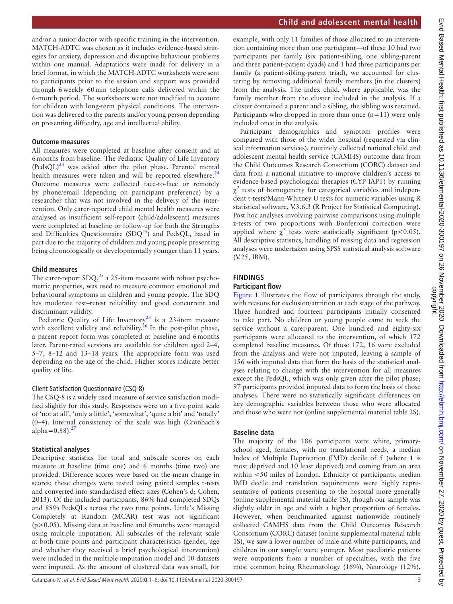and/or a junior doctor with specific training in the intervention. MATCH-ADTC was chosen as it includes evidence-based strategies for anxiety, depression and disruptive behaviour problems within one manual. Adaptations were made for delivery in a brief format, in which the MATCH-ADTC worksheets were sent to participants prior to the session and support was provided through 6weekly 60min telephone calls delivered within the 6-month period. The worksheets were not modified to account for children with long-term physical conditions. The intervention was delivered to the parents and/or young person depending on presenting difficulty, age and intellectual ability.

## **Outcome measures**

All measures were completed at baseline after consent and at 6months from baseline. The Pediatric Quality of Life Inventory  $(PedsQL)^{23}$  $(PedsQL)^{23}$  $(PedsQL)^{23}$  was added after the pilot phase. Parental mental health measures were taken and will be reported elsewhere.<sup>[24](#page-7-5)</sup> Outcome measures were collected face-to-face or remotely by phone/email (depending on participant preference) by a researcher that was not involved in the delivery of the intervention. Only carer-reported child mental health measures were analysed as insufficient self-report (child/adolescent) measures were completed at baseline or follow-up for both the Strengths and Difficulties Questionnaire  $(SDQ<sup>25</sup>)$  and PedsQL, based in part due to the majority of children and young people presenting being chronologically or developmentally younger than 11 years.

### **Child measures**

The carer-report  $SDQ<sub>1</sub><sup>25</sup>$  $SDQ<sub>1</sub><sup>25</sup>$  $SDQ<sub>1</sub><sup>25</sup>$  a 25-item measure with robust psychometric properties, was used to measure common emotional and behavioural symptoms in children and young people. The SDQ has moderate test–retest reliability and good concurrent and discriminant validity.

Pediatric Quality of Life Inventory<sup>23</sup> is a 23-item measure with excellent validity and reliability.<sup>26</sup> In the post-pilot phase, a parent report form was completed at baseline and 6months later. Parent-rated versions are available for children aged 2–4, 5–7, 8–12 and 13–18 years. The appropriate form was used depending on the age of the child. Higher scores indicate better quality of life.

### Client Satisfaction Questionnaire (CSQ-8)

The CSQ-8 is a widely used measure of service satisfaction modified slightly for this study. Responses were on a five-point scale of 'not at all', 'only a little', 'somewhat', 'quite a bit' and 'totally' (0–4). Internal consistency of the scale was high (Cronbach's alpha= $0.88$ ).<sup>27</sup>

## **Statistical analyses**

Descriptive statistics for total and subscale scores on each measure at baseline (time one) and 6 months (time two) are provided. Difference scores were based on the mean change in scores; these changes were tested using paired samples t-tests and converted into standardised effect sizes (Cohen's d; Cohen, 2013). Of the included participants, 86% had completed SDQs and 88% PedsQLs across the two time points. Little's Missing Completely at Random (MCAR) test was not significant  $(p>0.05)$ . Missing data at baseline and 6 months were managed using multiple imputation. All subscales of the relevant scale at both time points and participant characteristics (gender, age and whether they received a brief psychological intervention) were included in the multiple imputation model and 10 datasets were imputed. As the amount of clustered data was small, for

example, with only 11 families of those allocated to an intervention containing more than one participant—of these 10 had two participants per family (six patient-sibling, one sibling-parent and three patient-patient dyads) and 1 had three participants per family (a patient-sibling-parent triad), we accounted for clustering by removing additional family members (in the clusters) from the analysis. The index child, where applicable, was the family member from the cluster included in the analysis. If a cluster contained a parent and a sibling, the sibling was retained. Participants who dropped in more than once  $(n=11)$  were only included once in the analysis.

Participant demographics and symptom profiles were compared with those of the wider hospital (requested via clinical information services), routinely collected national child and adolescent mental health service (CAMHS) outcome data from the Child Outcomes Research Consortium (CORC) dataset and data from a national initiative to improve children's access to evidence-based psychological therapies (CYP IAPT) by running  $\chi^2$  tests of homogeneity for categorical variables and independent t-tests/Mann-Whitney U tests for numeric variables using R statistical software, V.3.6.3 (R Project for Statistical Computing). Post hoc analyses involving pairwise comparisons using multiple z-tests of two proportions with Bonferroni correction were applied where  $\chi^2$  tests were statistically significant (p<0.05). All descriptive statistics, handling of missing data and regression analyses were undertaken using SPSS statistical analysis software (V.25, IBM).

# **FINDINGS**

# **Participant flow**

[Figure](#page-3-0) 1 illustrates the flow of participants through the study, with reasons for exclusion/attrition at each stage of the pathway. Three hundred and fourteen participants initially consented to take part. No children or young people came to seek the service without a carer/parent. One hundred and eighty-six participants were allocated to the intervention, of which 172 completed baseline measures. Of those 172, 16 were excluded from the analysis and were not imputed, leaving a sample of 156 with imputed data that form the basis of the statistical analyses relating to change with the intervention for all measures except the PedsQL, which was only given after the pilot phase; 97 participants provided imputed data to form the basis of those analyses. There were no statistically significant differences on key demographic variables between those who were allocated and those who were not ([online supplemental material table 2S\)](https://dx.doi.org/10.1136/ebmental-2020-300197).

## **Baseline data**

The majority of the 186 participants were white, primaryschool aged, females, with no translational needs, a median Index of Multiple Deprivation (IMD) decile of 5 (where 1 is most deprived and 10 least deprived) and coming from an area within <50 miles of London. Ethnicity of participants, median IMD decile and translation requirements were highly representative of patients presenting to the hospital more generally ([online supplemental material table 1S](https://dx.doi.org/10.1136/ebmental-2020-300197)), though our sample was slightly older in age and with a higher proportion of females. However, when benchmarked against nationwide routinely collected CAMHS data from the Child Outcomes Research Consortium (CORC) dataset ([online supplemental material table](https://dx.doi.org/10.1136/ebmental-2020-300197) [1S](https://dx.doi.org/10.1136/ebmental-2020-300197)), we saw a lower number of male and white participants, and children in our sample were younger. Most paediatric patients were outpatients from a number of specialties, with the five most common being Rheumatology (16%), Neurology (12%),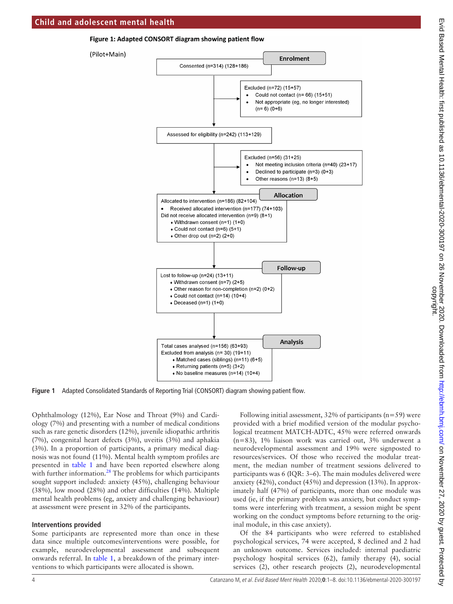#### Figure 1: Adapted CONSORT diagram showing patient flow



#### **Figure 1** Adapted Consolidated Standards of Reporting Trial (CONSORT) diagram showing patient flow.

Ophthalmology (12%), Ear Nose and Throat (9%) and Cardiology (7%) and presenting with a number of medical conditions such as rare genetic disorders (12%), juvenile idiopathic arthritis (7%), congenital heart defects (3%), uveitis (3%) and aphakia (3%). In a proportion of participants, a primary medical diagnosis was not found (11%). Mental health symptom profiles are presented in [table](#page-4-0) 1 and have been reported elsewhere along with further information. $28$  The problems for which participants sought support included: anxiety (45%), challenging behaviour (38%), low mood (28%) and other difficulties (14%). Multiple mental health problems (eg, anxiety and challenging behaviour) at assessment were present in 32% of the participants.

### **Interventions provided**

Some participants are represented more than once in these data since multiple outcomes/interventions were possible, for example, neurodevelopmental assessment and subsequent onwards referral. In [table](#page-4-0) 1, a breakdown of the primary interventions to which participants were allocated is shown.

<span id="page-3-0"></span>Following initial assessment,  $32\%$  of participants (n=59) were provided with a brief modified version of the modular psychological treatment MATCH-ADTC, 45% were referred onwards (n=83), 1% liaison work was carried out, 3% underwent a neurodevelopmental assessment and 19% were signposted to resources/services. Of those who received the modular treatment, the median number of treatment sessions delivered to participants was 6 (IQR: 3–6). The main modules delivered were anxiety (42%), conduct (45%) and depression (13%). In approximately half (47%) of participants, more than one module was used (ie, if the primary problem was anxiety, but conduct symptoms were interfering with treatment, a session might be spent working on the conduct symptoms before returning to the original module, in this case anxiety).

Of the 84 participants who were referred to established psychological services, 74 were accepted, 8 declined and 2 had an unknown outcome. Services included: internal paediatric psychology hospital services (62), family therapy (4), social services (2), other research projects (2), neurodevelopmental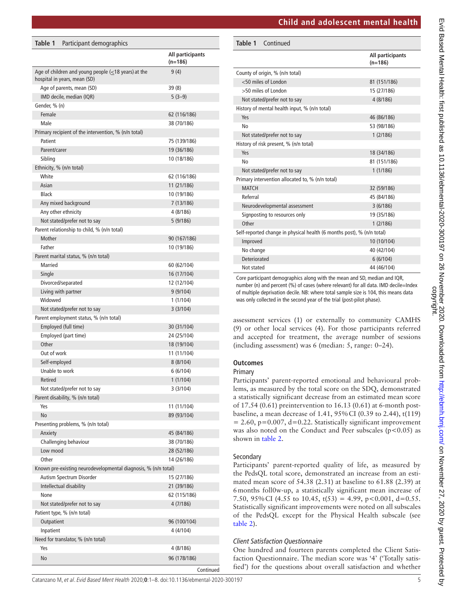|  |  |  |  | <b>Child and adolescent mental health</b> |  |
|--|--|--|--|-------------------------------------------|--|
|--|--|--|--|-------------------------------------------|--|

| Child and adolescent mental health<br>Table 1<br>Continued                                                                                                                                                                                                                                                                                                                                                                                                                                                                                                                            | All participants<br>$(n=186)$<br>81 (151/186) |
|---------------------------------------------------------------------------------------------------------------------------------------------------------------------------------------------------------------------------------------------------------------------------------------------------------------------------------------------------------------------------------------------------------------------------------------------------------------------------------------------------------------------------------------------------------------------------------------|-----------------------------------------------|
|                                                                                                                                                                                                                                                                                                                                                                                                                                                                                                                                                                                       |                                               |
|                                                                                                                                                                                                                                                                                                                                                                                                                                                                                                                                                                                       |                                               |
|                                                                                                                                                                                                                                                                                                                                                                                                                                                                                                                                                                                       |                                               |
| County of origin, % (n/n total)                                                                                                                                                                                                                                                                                                                                                                                                                                                                                                                                                       |                                               |
| <50 miles of London                                                                                                                                                                                                                                                                                                                                                                                                                                                                                                                                                                   |                                               |
| >50 miles of London                                                                                                                                                                                                                                                                                                                                                                                                                                                                                                                                                                   | 15 (27/186)                                   |
| Not stated/prefer not to say                                                                                                                                                                                                                                                                                                                                                                                                                                                                                                                                                          | 4(8/186)                                      |
| History of mental health input, % (n/n total)                                                                                                                                                                                                                                                                                                                                                                                                                                                                                                                                         |                                               |
| Yes                                                                                                                                                                                                                                                                                                                                                                                                                                                                                                                                                                                   | 46 (86/186)                                   |
| No                                                                                                                                                                                                                                                                                                                                                                                                                                                                                                                                                                                    | 53 (98/186)                                   |
| Not stated/prefer not to say                                                                                                                                                                                                                                                                                                                                                                                                                                                                                                                                                          | 1(2/186)                                      |
| History of risk present, % (n/n total)                                                                                                                                                                                                                                                                                                                                                                                                                                                                                                                                                |                                               |
| Yes                                                                                                                                                                                                                                                                                                                                                                                                                                                                                                                                                                                   | 18 (34/186)                                   |
| No                                                                                                                                                                                                                                                                                                                                                                                                                                                                                                                                                                                    | 81 (151/186)                                  |
| Not stated/prefer not to say                                                                                                                                                                                                                                                                                                                                                                                                                                                                                                                                                          | 1(1/186)                                      |
| Primary intervention allocated to, % (n/n total)                                                                                                                                                                                                                                                                                                                                                                                                                                                                                                                                      |                                               |
| <b>MATCH</b>                                                                                                                                                                                                                                                                                                                                                                                                                                                                                                                                                                          | 32 (59/186)                                   |
| Referral                                                                                                                                                                                                                                                                                                                                                                                                                                                                                                                                                                              | 45 (84/186)                                   |
| Neurodevelopmental assessment                                                                                                                                                                                                                                                                                                                                                                                                                                                                                                                                                         | 3(6/186)                                      |
| Signposting to resources only                                                                                                                                                                                                                                                                                                                                                                                                                                                                                                                                                         | 19 (35/186)                                   |
| Other                                                                                                                                                                                                                                                                                                                                                                                                                                                                                                                                                                                 | 1(2/186)                                      |
| Self-reported change in physical health (6 months post), % (n/n total)                                                                                                                                                                                                                                                                                                                                                                                                                                                                                                                |                                               |
| Improved                                                                                                                                                                                                                                                                                                                                                                                                                                                                                                                                                                              | 10 (10/104)                                   |
| No change                                                                                                                                                                                                                                                                                                                                                                                                                                                                                                                                                                             | 40 (42/104)                                   |
| Deteriorated                                                                                                                                                                                                                                                                                                                                                                                                                                                                                                                                                                          | 6(6/104)                                      |
| Not stated                                                                                                                                                                                                                                                                                                                                                                                                                                                                                                                                                                            | 44 (46/104)                                   |
| Core participant demographics along with the mean and SD, median and IQR,<br>number (n) and percent (%) of cases (where relevant) for all data. IMD decile=Index<br>of multiple deprivation decile. NB: where total sample size is 104, this means data<br>was only collected in the second year of the trial (post-pilot phase).<br>assessment services (1) or externally to community CAMH<br>9) or other local services (4). For those participants referred<br>and accepted for treatment, the average number of session<br>including assessment) was 6 (median: 5, range: 0-24). |                                               |
| <b>Dutcomes</b><br><sup>2</sup> rimary<br>Participants' parent-reported emotional and behavioural prob<br>ems, as measured by the total score on the SDQ, demonstrated<br>i statistically significant decrease from an estimated mean scor<br>of 17.54 (0.61) preintervention to 16.13 (0.61) at 6-month post<br>baseline, a mean decrease of 1.41, 95% CI (0.39 to 2.44), t(119                                                                                                                                                                                                      |                                               |

# **Outcomes**

# Primary

Participants' parent-reported emotional and behavioural problems, as measured by the total score on the SDQ, demonstrated a statistically significant decrease from an estimated mean score of 17.54 (0.61) preintervention to 16.13 (0.61) at 6-month postbaseline, a mean decrease of 1.41, 95%CI (0.39 to 2.44), t(119)  $= 2.60$ , p=0.007, d=0.22. Statistically significant improvement was also noted on the Conduct and Peer subscales ( $p$ <0.05) as shown in [table](#page-5-0) 2.

# Secondary

Participants' parent-reported quality of life, as measured by the PedsQL total score, demonstrated an increase from an estimated mean score of 54.38 (2.31) at baseline to 61.88 (2.39) at 6months foll0w-up, a statistically significant mean increase of 7.50, 95% CI (4.55 to 10.45,  $t(53) = 4.99$ ,  $p < 0.001$ ,  $d = 0.55$ . Statistically significant improvements were noted on all subscales of the PedsQL except for the Physical Health subscale (see [table](#page-5-0) 2).

# *Client Satisfaction Questionnaire*

One hundred and fourteen parents completed the Client Satisfaction Questionnaire. The median score was '4' ('Totally satisfied') for the questions about overall satisfaction and whether

<span id="page-4-0"></span>

| Table 1                 | Participant demographics                                                                  |                               |
|-------------------------|-------------------------------------------------------------------------------------------|-------------------------------|
|                         |                                                                                           | All participants<br>$(n=186)$ |
|                         | Age of children and young people $(\leq 18$ years) at the<br>hospital in years, mean (SD) | 9 (4)                         |
|                         | Age of parents, mean (SD)                                                                 | 39(8)                         |
|                         | IMD decile, median (IQR)                                                                  | $5(3-9)$                      |
| Gender, % (n)           |                                                                                           |                               |
| Female                  |                                                                                           | 62 (116/186)                  |
| Male                    |                                                                                           | 38 (70/186)                   |
|                         | Primary recipient of the intervention, % (n/n total)                                      |                               |
| Patient                 |                                                                                           | 75 (139/186)                  |
| Parent/carer<br>Sibling |                                                                                           | 19 (36/186)<br>10 (18/186)    |
|                         | Ethnicity, % (n/n total)                                                                  |                               |
| White                   |                                                                                           | 62 (116/186)                  |
| Asian                   |                                                                                           | 11 (21/186)                   |
| <b>Black</b>            |                                                                                           | 10 (19/186)                   |
|                         | Any mixed background                                                                      | 7 (13/186)                    |
|                         | Any other ethnicity                                                                       | 4 (8/186)                     |
|                         | Not stated/prefer not to say                                                              | 5 (9/186)                     |
|                         | Parent relationship to child, % (n/n total)                                               |                               |
| Mother                  |                                                                                           | 90 (167/186)                  |
| Father                  |                                                                                           | 10 (19/186)                   |
|                         | Parent marital status, % (n/n total)                                                      |                               |
| <b>Married</b>          |                                                                                           | 60 (62/104)                   |
| Single                  |                                                                                           | 16 (17/104)                   |
|                         | Divorced/separated                                                                        | 12 (12/104)                   |
| Widowed                 | Living with partner                                                                       | 9(9/104)                      |
|                         | Not stated/prefer not to say                                                              | 1 (1/104)<br>3(3/104)         |
|                         | Parent employment status, % (n/n total)                                                   |                               |
|                         | Employed (full time)                                                                      | 30 (31/104)                   |
|                         | Employed (part time)                                                                      | 24 (25/104)                   |
| Other                   |                                                                                           | 18 (19/104)                   |
| Out of work             |                                                                                           | 11 (11/104)                   |
| Self-employed           |                                                                                           | 8(8/104)                      |
| Unable to work          |                                                                                           | 6(6/104)                      |
| Retired                 |                                                                                           | 1(1/104)                      |
|                         | Not stated/prefer not to say                                                              | 3 (3/104)                     |
|                         | Parent disability, % (n/n total)                                                          |                               |
| Yes                     |                                                                                           | 11 (11/104)                   |
| No                      |                                                                                           | 89 (93/104)                   |
|                         | Presenting problems, % (n/n total)                                                        |                               |
| Anxiety                 |                                                                                           | 45 (84/186)                   |
| Low mood                | Challenging behaviour                                                                     | 38 (70/186)                   |
| Other                   |                                                                                           | 28 (52/186)<br>14 (26/186)    |
|                         | Known pre-existing neurodevelopmental diagnosis, % (n/n total)                            |                               |
|                         | Autism Spectrum Disorder                                                                  | 15 (27/186)                   |
|                         | Intellectual disability                                                                   | 21 (39/186)                   |
| None                    |                                                                                           | 62 (115/186)                  |
|                         | Not stated/prefer not to say                                                              | 4 (7/186)                     |
|                         | Patient type, % (n/n total)                                                               |                               |
| Outpatient              |                                                                                           | 96 (100/104)                  |
| Inpatient               |                                                                                           | 4 (4/104)                     |
|                         | Need for translator, % (n/n total)                                                        |                               |
| Yes                     |                                                                                           | 4 (8/186)                     |
| No                      |                                                                                           | 96 (178/186)                  |
|                         |                                                                                           | Continued                     |

Catanzano M, et al. Evid Based Ment Health 2020;**0**:1–8. doi:10.1136/ebmental-2020-300197 5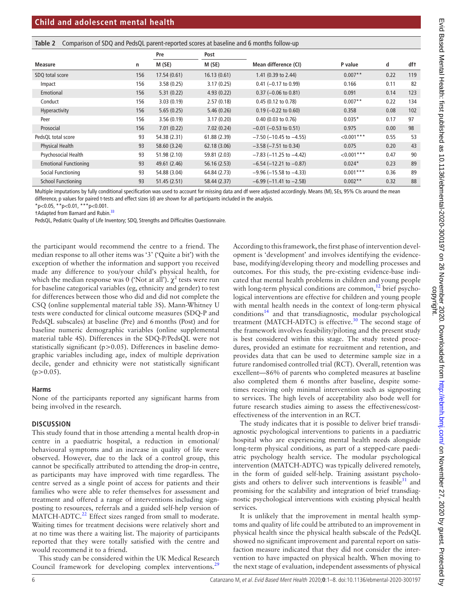<span id="page-5-0"></span>

|                              |     | Pre          | Post         |                                 |              |      |     |
|------------------------------|-----|--------------|--------------|---------------------------------|--------------|------|-----|
| <b>Measure</b>               | n   | M(SE)        | M(SE)        | Mean difference (CI)            | P value      | d    | df† |
| SDQ total score              | 156 | 17.54(0.61)  | 16.13(0.61)  | 1.41 (0.39 to 2.44)             | $0.007**$    | 0.22 | 119 |
| Impact                       | 156 | 3.58(0.25)   | 3.17(0.25)   | $0.41$ (-0.17 to 0.99)          | 0.166        | 0.11 | 82  |
| Emotional                    | 156 | 5.31(0.22)   | 4.93(0.22)   | $0.37$ (-0.06 to 0.81)          | 0.091        | 0.14 | 123 |
| Conduct                      | 156 | 3.03(0.19)   | 2.57(0.18)   | 0.45 (0.12 to 0.78)             | $0.007**$    | 0.22 | 134 |
| Hyperactivity                | 156 | 5.65(0.25)   | 5.46(0.26)   | $0.19$ (-0.22 to 0.60)          | 0.358        | 0.08 | 102 |
| Peer                         | 156 | 3.56(0.19)   | 3.17(0.20)   | $0.40$ (0.03 to 0.76)           | $0.035*$     | 0.17 | 97  |
| Prosocial                    | 156 | 7.01(0.22)   | 7.02(0.24)   | $-0.01$ ( $-0.53$ to 0.51)      | 0.975        | 0.00 | 98  |
| PedsQL total score           | 93  | 54.38 (2.31) | 61.88 (2.39) | $-7.50$ (-10.45 to -4.55)       | $< 0.001***$ | 0.55 | 53  |
| <b>Physical Health</b>       | 93  | 58.60 (3.24) | 62.18 (3.06) | $-3.58$ ( $-7.51$ to 0.34)      | 0.075        | 0.20 | 43  |
| Psychosocial Health          | 93  | 51.98 (2.10) | 59.81 (2.03) | $-7.83$ ( $-11.25$ to $-4.42$ ) | $< 0.001***$ | 0.47 | 90  |
| <b>Emotional Functioning</b> | 93  | 49.61 (2.46) | 56.16(2.53)  | $-6.54$ ( $-12.21$ to $-0.87$ ) | $0.024*$     | 0.23 | 89  |
| Social Functioning           | 93  | 54.88 (3.04) | 64.84 (2.73) | $-9.96$ ( $-15.58$ to $-4.33$ ) | $0.001***$   | 0.36 | 89  |
| <b>School Functioning</b>    | 93  | 51.45(2.51)  | 58.44 (2.37) | $-6.99$ ( $-11.41$ to $-2.58$ ) | $0.002**$    | 0.32 | 88  |

Multiple imputations by fully conditional specification was used to account for missing data and df were adjusted accordingly. Means (M), SEs, 95% CIs around the mean difference, p values for paired t-tests and effect sizes (d) are shown for all participants included in the analysis.

\*p<0.05, \*\*p<0.01, \*\*\*p<0.001.

†Adapted from Barnard and Rubin.[33](#page-7-13)

PedsQL, Pediatric Quality of Life Inventory; SDQ, Strengths and Difficulties Questionnaire.

the participant would recommend the centre to a friend. The median response to all other items was '3' ('Quite a bit') with the exception of whether the information and support you received made any difference to you/your child's physical health, for which the median response was 0 ('Not at all').  $\chi^2$  tests were run for baseline categorical variables (eg, ethnicity and gender) to test for differences between those who did and did not complete the CSQ [\(online supplemental material table 3S\)](https://dx.doi.org/10.1136/ebmental-2020-300197). Mann-Whitney U tests were conducted for clinical outcome measures (SDQ-P and PedsQL subscales) at baseline (Pre) and 6months (Post) and for baseline numeric demographic variables ([online supplemental](https://dx.doi.org/10.1136/ebmental-2020-300197)  [material table 4S](https://dx.doi.org/10.1136/ebmental-2020-300197)). Differences in the SDQ-P/PedsQL were not statistically significant (p>0.05). Differences in baseline demographic variables including age, index of multiple deprivation decile, gender and ethnicity were not statistically significant  $(p>0.05)$ .

#### **Harms**

None of the participants reported any significant harms from being involved in the research.

### **DISCUSSION**

This study found that in those attending a mental health drop-in centre in a paediatric hospital, a reduction in emotional/ behavioural symptoms and an increase in quality of life were observed. However, due to the lack of a control group, this cannot be specifically attributed to attending the drop-in centre, as participants may have improved with time regardless. The centre served as a single point of access for patients and their families who were able to refer themselves for assessment and treatment and offered a range of interventions including signposting to resources, referrals and a guided self-help version of MATCH-ADTC.<sup>[22](#page-7-3)</sup> Effect sizes ranged from small to moderate. Waiting times for treatment decisions were relatively short and at no time was there a waiting list. The majority of participants reported that they were totally satisfied with the centre and would recommend it to a friend.

This study can be considered within the UK Medical Research Council framework for developing complex interventions.<sup>[29](#page-7-10)</sup>

According to this framework, the first phase of intervention development is 'development' and involves identifying the evidencebase, modifying/developing theory and modelling processes and outcomes. For this study, the pre-existing evidence-base indicated that mental health problems in children and young people with long-term physical conditions are common,<sup>12</sup> brief psychological interventions are effective for children and young people with mental health needs in the context of long-term physical  $conditions<sup>14</sup>$  and that transdiagnostic, modular psychological treatment (MATCH-ADTC) is effective. $30$  The second stage of the framework involves feasibility/piloting and the present study is best considered within this stage. The study tested procedures, provided an estimate for recruitment and retention, and provides data that can be used to determine sample size in a future randomised controlled trial (RCT). Overall, retention was excellent—86% of parents who completed measures at baseline also completed them 6 months after baseline, despite sometimes receiving only minimal intervention such as signposting to services. The high levels of acceptability also bode well for future research studies aiming to assess the effectiveness/costeffectiveness of the intervention in an RCT.

The study indicates that it is possible to deliver brief transdiagnostic psychological interventions to patients in a paediatric hospital who are experiencing mental health needs alongside long-term physical conditions, as part of a stepped-care paediatric psychology health service. The modular psychological intervention (MATCH-ADTC) was typically delivered remotely, in the form of guided self-help. Training assistant psychologists and others to deliver such interventions is feasible $31$  and promising for the scalability and integration of brief transdiagnostic psychological interventions with existing physical health services.

It is unlikely that the improvement in mental health symptoms and quality of life could be attributed to an improvement in physical health since the physical health subscale of the PedsQL showed no significant improvement and parental report on satisfaction measure indicated that they did not consider the intervention to have impacted on physical health. When moving to the next stage of evaluation, independent assessments of physical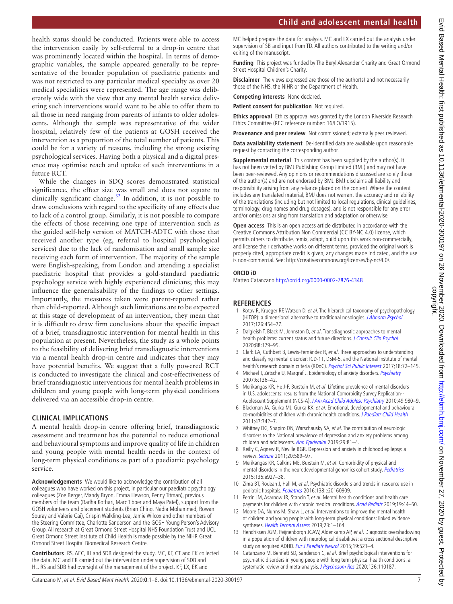**Child and adolescent mental health**

health status should be conducted. Patients were able to access the intervention easily by self-referral to a drop-in centre that was prominently located within the hospital. In terms of demographic variables, the sample appeared generally to be representative of the broader population of paediatric patients and was not restricted to any particular medical specialty as over 20 medical specialities were represented. The age range was deliberately wide with the view that any mental health service delivering such interventions would want to be able to offer them to all those in need ranging from parents of infants to older adolescents. Although the sample was representative of the wider hospital, relatively few of the patients at GOSH received the intervention as a proportion of the total number of patients. This could be for a variety of reasons, including the strong existing psychological services. Having both a physical and a digital presence may optimise reach and uptake of such interventions in a future RCT.

While the changes in SDQ scores demonstrated statistical significance, the effect size was small and does not equate to clinically significant change.<sup>32</sup> In addition, it is not possible to draw conclusions with regard to the specificity of any effects due to lack of a control group. Similarly, it is not possible to compare the effects of those receiving one type of intervention such as the guided self-help version of MATCH-ADTC with those that received another type (eg, referral to hospital psychological services) due to the lack of randomisation and small sample size receiving each form of intervention. The majority of the sample were English-speaking, from London and attending a specialist paediatric hospital that provides a gold-standard paediatric psychology service with highly experienced clinicians; this may influence the generalisability of the findings to other settings. Importantly, the measures taken were parent-reported rather than child-reported. Although such limitations are to be expected at this stage of development of an intervention, they mean that it is difficult to draw firm conclusions about the specific impact of a brief, transdiagnostic intervention for mental health in this population at present. Nevertheless, the study as a whole points to the feasibility of delivering brief transdiagnostic interventions via a mental health drop-in centre and indicates that they may have potential benefits. We suggest that a fully powered RCT is conducted to investigate the clinical and cost-effectiveness of brief transdiagnostic interventions for mental health problems in children and young people with long-term physical conditions delivered via an accessible drop-in centre.

### **CLINICAL IMPLICATIONS**

A mental health drop-in centre offering brief, transdiagnostic assessment and treatment has the potential to reduce emotional and behavioural symptoms and improve quality of life in children and young people with mental health needs in the context of long-term physical conditions as part of a paediatric psychology service.

**Acknowledgements** We would like to acknowledge the contribution of all colleagues who have worked on this project, in particular our paediatric psychology colleagues (Zoe Berger, Mandy Bryon, Emma Hewson, Penny Titman), previous members of the team (Radha Kothari, Marc Tibber and Maya Patel), support from the GOSH volunteers and placement students (Brian Ching, Nadia Mohammed, Rowan Souray and Valerie Cai), Crispin Walkling-Lea, Jamie Wilcox and other members of the Steering Committee, Charlotte Sanderson and the GOSH Young Person's Advisory Group. All research at Great Ormond Street Hospital NHS Foundation Trust and UCL Great Ormond Street Institute of Child Health is made possible by the NIHR Great Ormond Street Hospital Biomedical Research Centre.

**Contributors** RS, AEC, IH and SDB designed the study. MC, KF, CT and EK collected the data. MC and EK carried out the intervention under supervision of SDB and HL. RS and SDB had oversight of the management of the project. KF, LX, EK and

MC helped prepare the data for analysis. MC and LX carried out the analysis under supervision of SB and input from TD. All authors contributed to the writing and/or editing of the manuscript.

**Funding** This project was funded by The Beryl Alexander Charity and Great Ormond Street Hospital Children's Charity.

**Disclaimer** The views expressed are those of the author(s) and not necessarily those of the NHS, the NIHR or the Department of Health.

**Competing interests** None declared.

**Patient consent for publication** Not required.

**Ethics approval** Ethics approval was granted by the London Riverside Research Ethics Committee (REC reference number: 16/LO/1915).

**Provenance and peer review** Not commissioned; externally peer reviewed.

**Data availability statement** De-identified data are available upon reasonable request by contacting the corresponding author.

**Supplemental material** This content has been supplied by the author(s). It has not been vetted by BMJ Publishing Group Limited (BMJ) and may not have been peer-reviewed. Any opinions or recommendations discussed are solely those of the author(s) and are not endorsed by BMJ. BMJ disclaims all liability and responsibility arising from any reliance placed on the content. Where the content includes any translated material, BMJ does not warrant the accuracy and reliability of the translations (including but not limited to local regulations, clinical guidelines, terminology, drug names and drug dosages), and is not responsible for any error and/or omissions arising from translation and adaptation or otherwise.

**Open access** This is an open access article distributed in accordance with the Creative Commons Attribution Non Commercial (CC BY-NC 4.0) license, which permits others to distribute, remix, adapt, build upon this work non-commercially, and license their derivative works on different terms, provided the original work is properly cited, appropriate credit is given, any changes made indicated, and the use is non-commercial. See: [http://creativecommons.org/licenses/by-nc/4.0/.](http://creativecommons.org/licenses/by-nc/4.0/)

#### **ORCID iD**

Matteo Catanzano <http://orcid.org/0000-0002-7876-4348>

### **REFERENCES**

- <span id="page-6-0"></span>1 Kotov R, Krueger RF, Watson D, et al. The hierarchical taxonomy of psychopathology (HiTOP): a dimensional alternative to traditional nosologies. [J Abnorm Psychol](http://dx.doi.org/10.1037/abn0000258) 2017;126:454–77.
- 2 Dalgleish T, Black M, Johnston D, et al. Transdiagnostic approaches to mental health problems: current status and future directions. [J Consult Clin Psychol](http://dx.doi.org/10.1037/ccp0000482) 2020;88:179–95.
- <span id="page-6-1"></span>3 Clark LA, Cuthbert B, Lewis-Fernández R, et al. Three approaches to understanding and classifying mental disorder: ICD-11, DSM-5, and the National Institute of mental health's research domain criteria (RDoC). [Psychol Sci Public Interest](http://dx.doi.org/10.1177/1529100617727266) 2017;18:72-145.
- <span id="page-6-2"></span>4 Michael T, Zetsche U, Margraf J. Epidemiology of anxiety disorders. [Psychiatry](http://dx.doi.org/10.1016/j.mppsy.2007.01.007) 2007;6:136–42.
- <span id="page-6-3"></span>5 Merikangas KR, He J-P, Burstein M, et al. Lifetime prevalence of mental disorders in U.S. adolescents: results from the National Comorbidity Survey Replication-- Adolescent Supplement (NCS-A). [J Am Acad Child Adolesc Psychiatry](http://dx.doi.org/10.1016/j.jaac.2010.05.017) 2010;49:980–9.
- <span id="page-6-4"></span>6 Blackman JA, Gurka MJ, Gurka KK, et al. Emotional, developmental and behavioural co-morbidities of children with chronic health conditions. [J Paediatr Child Health](http://dx.doi.org/10.1111/j.1440-1754.2011.02044.x) 2011;47:742–7.
- 7 Whitney DG, Shapiro DN, Warschausky SA, et al. The contribution of neurologic disorders to the National prevalence of depression and anxiety problems among children and adolescents. [Ann Epidemiol](http://dx.doi.org/10.1016/j.annepidem.2018.11.003) 2019;29:81-4.
- 8 Reilly C, Agnew R, Neville BGR. Depression and anxiety in childhood epilepsy: a review. [Seizure](http://dx.doi.org/10.1016/j.seizure.2011.06.004) 2011;20:589–97.
- <span id="page-6-5"></span>9 Merikangas KR, Calkins ME, Burstein M, et al. Comorbidity of physical and mental disorders in the neurodevelopmental genomics cohort study. *[Pediatrics](http://dx.doi.org/10.1542/peds.2014-1444)* 2015;135:e927–38.
- <span id="page-6-6"></span>10 Zima BT, Rodean J, Hall M, et al. Psychiatric disorders and trends in resource use in pediatric hospitals. [Pediatrics](http://dx.doi.org/10.1542/peds.2016-0909) 2016;138:e20160909.
- <span id="page-6-7"></span>11 Perrin JM, Asarnow JR, Stancin T, et al. Mental health conditions and health care payments for children with chronic medical conditions. [Acad Pediatr](http://dx.doi.org/10.1016/j.acap.2018.10.001) 2019;19:44-50.
- <span id="page-6-8"></span>12 Moore DA, Nunns M, Shaw L, et al. Interventions to improve the mental health of children and young people with long-term physical conditions: linked evidence syntheses. [Health Technol Assess](http://dx.doi.org/10.3310/hta23220) 2019;23:1–164.
- 13 Hendriksen JGM, Peijnenborgh JCAW, Aldenkamp AP, et al. Diagnostic overshadowing in a population of children with neurological disabilities: a cross sectional descriptive study on acquired ADHD. [Eur J Paediatr Neurol](http://dx.doi.org/10.1016/j.ejpn.2015.04.004) 2015;19:521-4.
- <span id="page-6-9"></span>14 Catanzano M, Bennett SD, Sanderson C, et al. Brief psychological interventions for psychiatric disorders in young people with long term physical health conditions: a systematic review and meta-analysis. [J Psychosom Res](http://dx.doi.org/10.1016/j.jpsychores.2020.110187) 2020;136:110187.